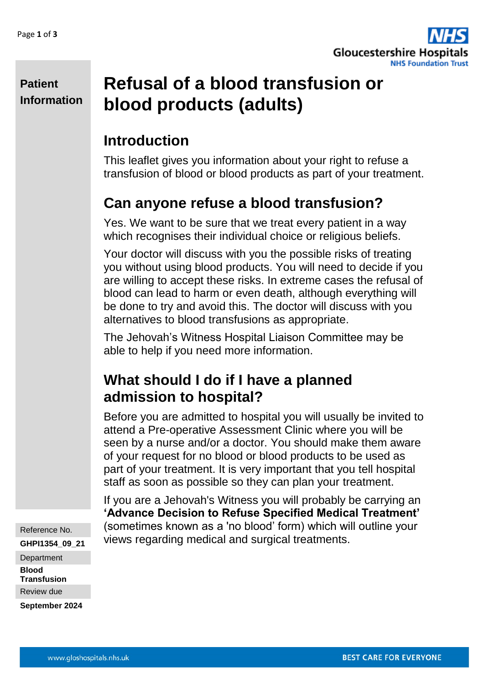

**Patient Information**

# **Refusal of a blood transfusion or blood products (adults)**

# **Introduction**

This leaflet gives you information about your right to refuse a transfusion of blood or blood products as part of your treatment.

# **Can anyone refuse a blood transfusion?**

Yes. We want to be sure that we treat every patient in a way which recognises their individual choice or religious beliefs.

Your doctor will discuss with you the possible risks of treating you without using blood products. You will need to decide if you are willing to accept these risks. In extreme cases the refusal of blood can lead to harm or even death, although everything will be done to try and avoid this. The doctor will discuss with you alternatives to blood transfusions as appropriate.

The Jehovah's Witness Hospital Liaison Committee may be able to help if you need more information.

### **What should I do if I have a planned admission to hospital?**

Before you are admitted to hospital you will usually be invited to attend a Pre-operative Assessment Clinic where you will be seen by a nurse and/or a doctor. You should make them aware of your request for no blood or blood products to be used as part of your treatment. It is very important that you tell hospital staff as soon as possible so they can plan your treatment.

If you are a Jehovah's Witness you will probably be carrying an **'Advance Decision to Refuse Specified Medical Treatment'** (sometimes known as a 'no blood' form) which will outline your views regarding medical and surgical treatments.

Reference No. **GHPI1354\_09\_21 Department Blood Transfusion** Review due

**September 2024**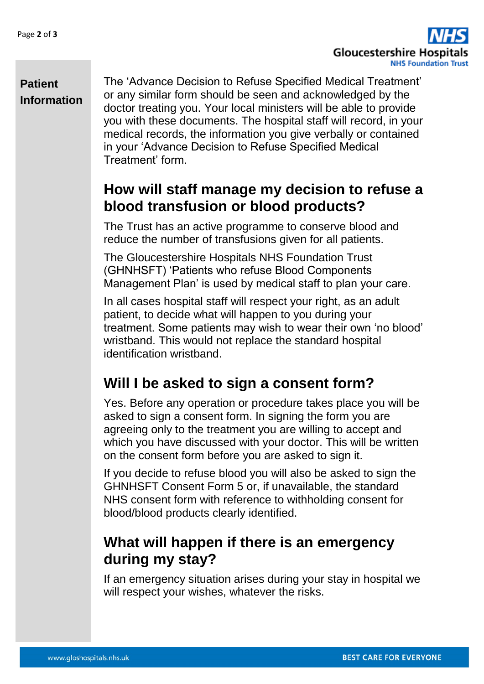

#### **Patient Information**

The 'Advance Decision to Refuse Specified Medical Treatment' or any similar form should be seen and acknowledged by the doctor treating you. Your local ministers will be able to provide you with these documents. The hospital staff will record, in your medical records, the information you give verbally or contained in your 'Advance Decision to Refuse Specified Medical Treatment' form.

#### **How will staff manage my decision to refuse a blood transfusion or blood products?**

The Trust has an active programme to conserve blood and reduce the number of transfusions given for all patients.

The Gloucestershire Hospitals NHS Foundation Trust (GHNHSFT) 'Patients who refuse Blood Components Management Plan' is used by medical staff to plan your care.

In all cases hospital staff will respect your right, as an adult patient, to decide what will happen to you during your treatment. Some patients may wish to wear their own 'no blood' wristband. This would not replace the standard hospital identification wristband.

### **Will I be asked to sign a consent form?**

Yes. Before any operation or procedure takes place you will be asked to sign a consent form. In signing the form you are agreeing only to the treatment you are willing to accept and which you have discussed with your doctor. This will be written on the consent form before you are asked to sign it.

If you decide to refuse blood you will also be asked to sign the GHNHSFT Consent Form 5 or, if unavailable, the standard NHS consent form with reference to withholding consent for blood/blood products clearly identified.

### **What will happen if there is an emergency during my stay?**

If an emergency situation arises during your stay in hospital we will respect your wishes, whatever the risks.